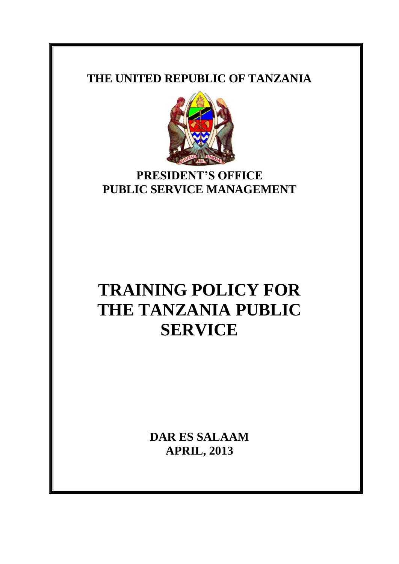### **THE UNITED REPUBLIC OF TANZANIA**



## **PRESIDENT'S OFFICE PUBLIC SERVICE MANAGEMENT**

# **TRAINING POLICY FOR THE TANZANIA PUBLIC SERVICE**

**DAR ES SALAAM APRIL, 2013**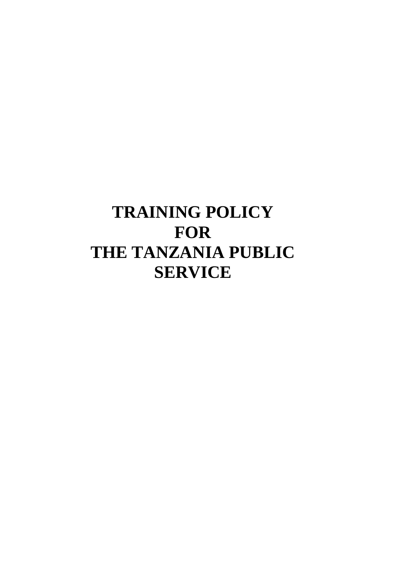# **TRAINING POLICY FOR THE TANZANIA PUBLIC SERVICE**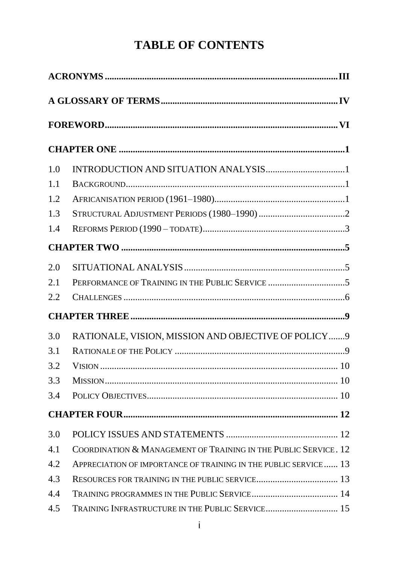# **TABLE OF CONTENTS**

| 1.0 |                                                                 |  |  |  |  |
|-----|-----------------------------------------------------------------|--|--|--|--|
| 1.1 |                                                                 |  |  |  |  |
| 1.2 |                                                                 |  |  |  |  |
| 1.3 |                                                                 |  |  |  |  |
| 1.4 |                                                                 |  |  |  |  |
|     |                                                                 |  |  |  |  |
| 2.0 |                                                                 |  |  |  |  |
| 2.1 |                                                                 |  |  |  |  |
| 2.2 |                                                                 |  |  |  |  |
|     |                                                                 |  |  |  |  |
| 3.0 | RATIONALE, VISION, MISSION AND OBJECTIVE OF POLICY  9           |  |  |  |  |
| 3.1 |                                                                 |  |  |  |  |
| 3.2 |                                                                 |  |  |  |  |
| 3.3 |                                                                 |  |  |  |  |
| 3.4 |                                                                 |  |  |  |  |
|     |                                                                 |  |  |  |  |
| 3.0 |                                                                 |  |  |  |  |
| 4.1 | COORDINATION & MANAGEMENT OF TRAINING IN THE PUBLIC SERVICE. 12 |  |  |  |  |
| 4.2 | APPRECIATION OF IMPORTANCE OF TRAINING IN THE PUBLIC SERVICE 13 |  |  |  |  |
| 4.3 |                                                                 |  |  |  |  |
| 4.4 |                                                                 |  |  |  |  |
| 4.5 | TRAINING INFRASTRUCTURE IN THE PUBLIC SERVICE 15                |  |  |  |  |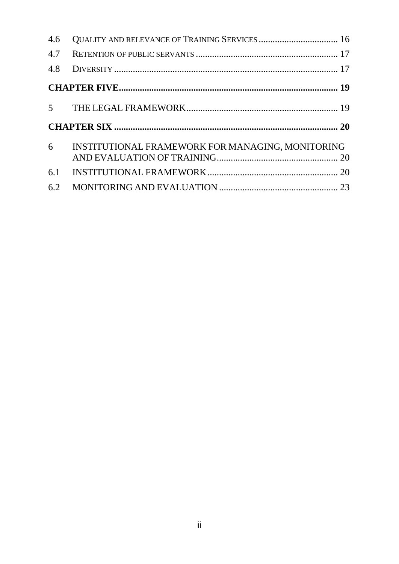| 4.6            |                                                  |  |  |  |
|----------------|--------------------------------------------------|--|--|--|
|                |                                                  |  |  |  |
|                |                                                  |  |  |  |
|                |                                                  |  |  |  |
|                |                                                  |  |  |  |
|                |                                                  |  |  |  |
| 6 <sup>6</sup> | INSTITUTIONAL FRAMEWORK FOR MANAGING, MONITORING |  |  |  |
|                |                                                  |  |  |  |
|                |                                                  |  |  |  |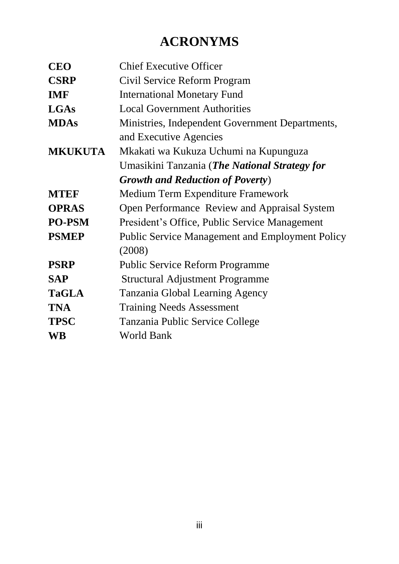# **ACRONYMS**

<span id="page-4-0"></span>

| <b>CEO</b>     | <b>Chief Executive Officer</b>                         |
|----------------|--------------------------------------------------------|
| <b>CSRP</b>    | Civil Service Reform Program                           |
| <b>IMF</b>     | <b>International Monetary Fund</b>                     |
| <b>LGAs</b>    | <b>Local Government Authorities</b>                    |
| <b>MDAs</b>    | Ministries, Independent Government Departments,        |
|                | and Executive Agencies                                 |
| <b>MKUKUTA</b> | Mkakati wa Kukuza Uchumi na Kupunguza                  |
|                | Umasikini Tanzania ( <i>The National Strategy for</i>  |
|                | <b>Growth and Reduction of Poverty</b> )               |
| <b>MTEF</b>    | Medium Term Expenditure Framework                      |
| <b>OPRAS</b>   | Open Performance Review and Appraisal System           |
| <b>PO-PSM</b>  | President's Office, Public Service Management          |
| <b>PSMEP</b>   | <b>Public Service Management and Employment Policy</b> |
|                | (2008)                                                 |
| <b>PSRP</b>    | <b>Public Service Reform Programme</b>                 |
| <b>SAP</b>     | <b>Structural Adjustment Programme</b>                 |
| <b>TaGLA</b>   | Tanzania Global Learning Agency                        |
| <b>TNA</b>     | <b>Training Needs Assessment</b>                       |
| <b>TPSC</b>    | Tanzania Public Service College                        |
| <b>WB</b>      | <b>World Bank</b>                                      |
|                |                                                        |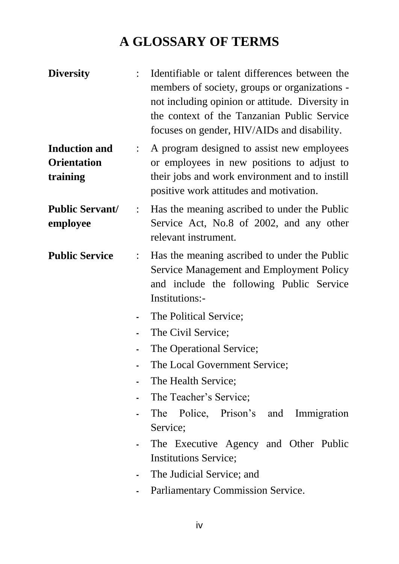# **A GLOSSARY OF TERMS**

<span id="page-5-0"></span>**Diversity** : Identifiable or talent differences between the members of society, groups or organizations not including opinion or attitude. Diversity in the context of the Tanzanian Public Service focuses on gender, HIV/AIDs and disability. **Induction and Orientation training** : A program designed to assist new employees or employees in new positions to adjust to their jobs and work environment and to instill positive work attitudes and motivation. **Public Servant/ employee** : Has the meaning ascribed to under the Public Service Act, No.8 of 2002, and any other relevant instrument. **Public Service** : Has the meaning ascribed to under the Public Service Management and Employment Policy and include the following Public Service Institutions:- **-** The Political Service; **-** The Civil Service; **-** The Operational Service; **-** The Local Government Service; **-** The Health Service; **-** The Teacher's Service; **-** The Police, Prison's and Immigration Service; The Executive Agency and Other Public Institutions Service; **-** The Judicial Service; and **-** Parliamentary Commission Service.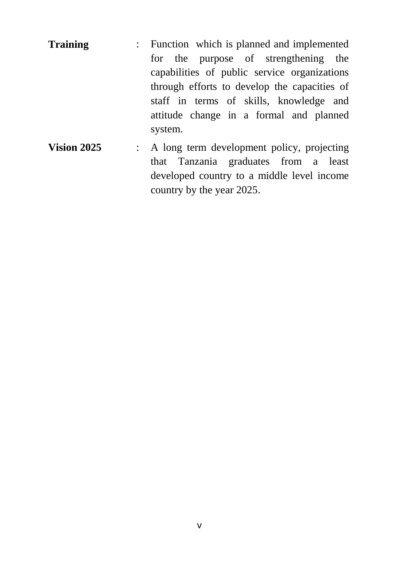- **Training** : Function which is planned and implemented for the purpose of strengthening the capabilities of public service organizations through efforts to develop the capacities of staff in terms of skills, knowledge and attitude change in a formal and planned system.
- **Vision 2025** : A long term development policy, projecting that Tanzania graduates from a least developed country to a middle level income country by the year 2025.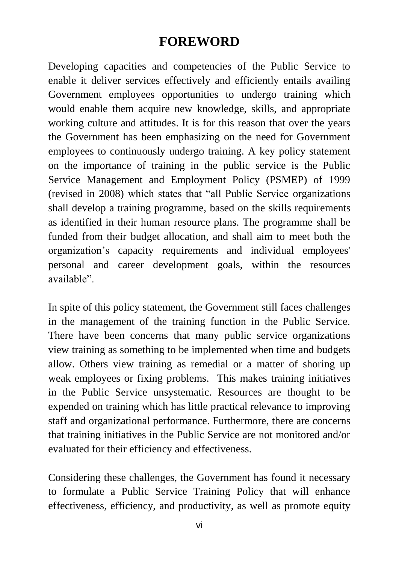# **FOREWORD**

<span id="page-7-0"></span>Developing capacities and competencies of the Public Service to enable it deliver services effectively and efficiently entails availing Government employees opportunities to undergo training which would enable them acquire new knowledge, skills, and appropriate working culture and attitudes. It is for this reason that over the years the Government has been emphasizing on the need for Government employees to continuously undergo training. A key policy statement on the importance of training in the public service is the Public Service Management and Employment Policy (PSMEP) of 1999 (revised in 2008) which states that "all Public Service organizations shall develop a training programme, based on the skills requirements as identified in their human resource plans. The programme shall be funded from their budget allocation, and shall aim to meet both the organization's capacity requirements and individual employees' personal and career development goals, within the resources available".

In spite of this policy statement, the Government still faces challenges in the management of the training function in the Public Service. There have been concerns that many public service organizations view training as something to be implemented when time and budgets allow. Others view training as remedial or a matter of shoring up weak employees or fixing problems. This makes training initiatives in the Public Service unsystematic. Resources are thought to be expended on training which has little practical relevance to improving staff and organizational performance. Furthermore, there are concerns that training initiatives in the Public Service are not monitored and/or evaluated for their efficiency and effectiveness.

Considering these challenges, the Government has found it necessary to formulate a Public Service Training Policy that will enhance effectiveness, efficiency, and productivity, as well as promote equity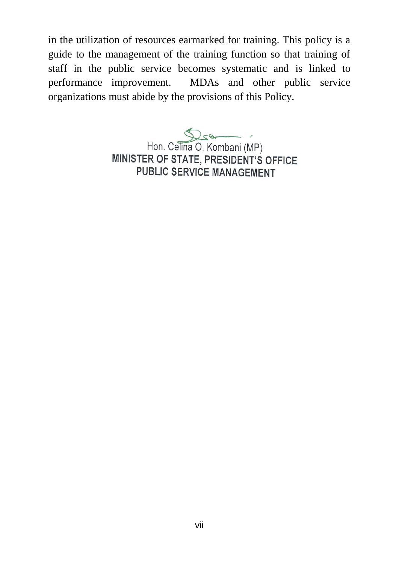in the utilization of resources earmarked for training. This policy is a guide to the management of the training function so that training of staff in the public service becomes systematic and is linked to performance improvement. MDAs and other public service organizations must abide by the provisions of this Policy.

Hon. Celina O. Kombani (MP)

MINISTER OF STATE, PRESIDENT'S OFFICE **PUBLIC SERVICE MANAGEMENT**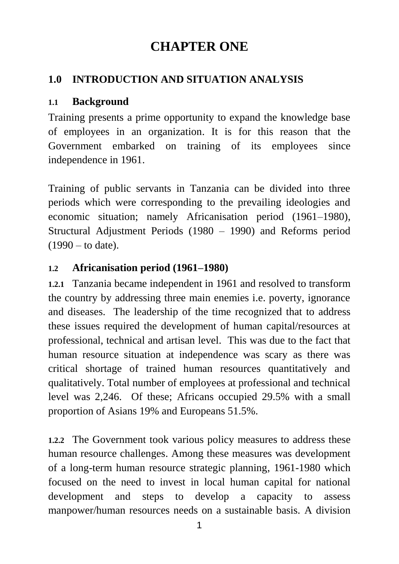# **CHAPTER ONE**

#### <span id="page-9-1"></span><span id="page-9-0"></span>**1.0 INTRODUCTION AND SITUATION ANALYSIS**

#### <span id="page-9-2"></span>**1.1 Background**

Training presents a prime opportunity to expand the knowledge base of employees in an organization. It is for this reason that the Government embarked on training of its employees since independence in 1961.

Training of public servants in Tanzania can be divided into three periods which were corresponding to the prevailing ideologies and economic situation; namely Africanisation period (1961–1980), Structural Adjustment Periods (1980 – 1990) and Reforms period  $(1990 -$  to date).

#### <span id="page-9-3"></span>**1.2 Africanisation period (1961–1980)**

**1.2.1** Tanzania became independent in 1961 and resolved to transform the country by addressing three main enemies i.e. poverty, ignorance and diseases. The leadership of the time recognized that to address these issues required the development of human capital/resources at professional, technical and artisan level. This was due to the fact that human resource situation at independence was scary as there was critical shortage of trained human resources quantitatively and qualitatively. Total number of employees at professional and technical level was 2,246. Of these; Africans occupied 29.5% with a small proportion of Asians 19% and Europeans 51.5%.

**1.2.2** The Government took various policy measures to address these human resource challenges. Among these measures was development of a long-term human resource strategic planning, 1961-1980 which focused on the need to invest in local human capital for national development and steps to develop a capacity to assess manpower/human resources needs on a sustainable basis. A division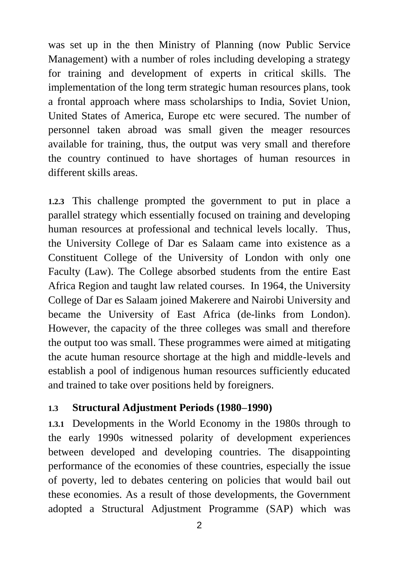was set up in the then Ministry of Planning (now Public Service Management) with a number of roles including developing a strategy for training and development of experts in critical skills. The implementation of the long term strategic human resources plans, took a frontal approach where mass scholarships to India, Soviet Union, United States of America, Europe etc were secured. The number of personnel taken abroad was small given the meager resources available for training, thus, the output was very small and therefore the country continued to have shortages of human resources in different skills areas.

**1.2.3** This challenge prompted the government to put in place a parallel strategy which essentially focused on training and developing human resources at professional and technical levels locally. Thus, the University College of Dar es Salaam came into existence as a Constituent College of the University of London with only one Faculty (Law). The College absorbed students from the entire East Africa Region and taught law related courses. In 1964, the University College of Dar es Salaam joined Makerere and Nairobi University and became the University of East Africa (de-links from London). However, the capacity of the three colleges was small and therefore the output too was small. These programmes were aimed at mitigating the acute human resource shortage at the high and middle-levels and establish a pool of indigenous human resources sufficiently educated and trained to take over positions held by foreigners.

#### <span id="page-10-0"></span>**1.3 Structural Adjustment Periods (1980–1990)**

**1.3.1** Developments in the World Economy in the 1980s through to the early 1990s witnessed polarity of development experiences between developed and developing countries. The disappointing performance of the economies of these countries, especially the issue of poverty, led to debates centering on policies that would bail out these economies. As a result of those developments, the Government adopted a Structural Adjustment Programme (SAP) which was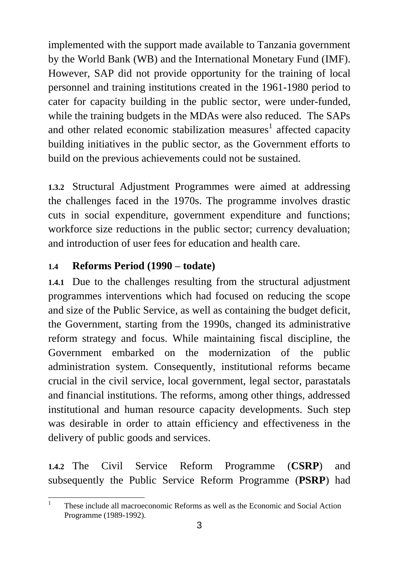implemented with the support made available to Tanzania government by the World Bank (WB) and the International Monetary Fund (IMF). However, SAP did not provide opportunity for the training of local personnel and training institutions created in the 1961-1980 period to cater for capacity building in the public sector, were under-funded, while the training budgets in the MDAs were also reduced. The SAPs and other related economic stabilization measures<sup>1</sup> affected capacity building initiatives in the public sector, as the Government efforts to build on the previous achievements could not be sustained.

**1.3.2** Structural Adjustment Programmes were aimed at addressing the challenges faced in the 1970s. The programme involves drastic cuts in social expenditure, government expenditure and functions; workforce size reductions in the public sector; currency devaluation; and introduction of user fees for education and health care.

#### <span id="page-11-0"></span>**1.4 Reforms Period (1990 – todate)**

**1.4.1** Due to the challenges resulting from the structural adjustment programmes interventions which had focused on reducing the scope and size of the Public Service, as well as containing the budget deficit, the Government, starting from the 1990s, changed its administrative reform strategy and focus. While maintaining fiscal discipline, the Government embarked on the modernization of the public administration system. Consequently, institutional reforms became crucial in the civil service, local government, legal sector, parastatals and financial institutions. The reforms, among other things, addressed institutional and human resource capacity developments. Such step was desirable in order to attain efficiency and effectiveness in the delivery of public goods and services.

**1.4.2** The Civil Service Reform Programme (**CSRP**) and subsequently the Public Service Reform Programme (**PSRP**) had

 $\frac{1}{1}$ These include all macroeconomic Reforms as well as the Economic and Social Action Programme (1989-1992).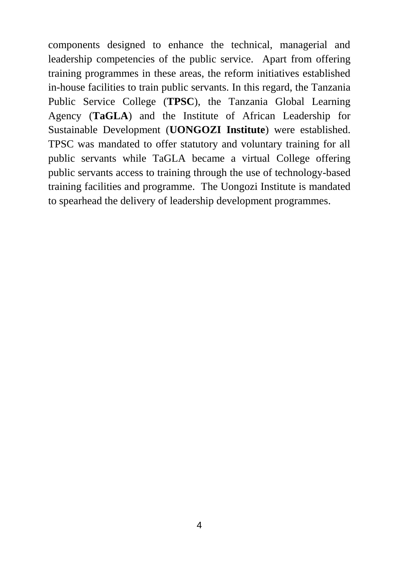components designed to enhance the technical, managerial and leadership competencies of the public service. Apart from offering training programmes in these areas, the reform initiatives established in-house facilities to train public servants. In this regard, the Tanzania Public Service College (**TPSC**), the Tanzania Global Learning Agency (**TaGLA**) and the Institute of African Leadership for Sustainable Development (**UONGOZI Institute**) were established. TPSC was mandated to offer statutory and voluntary training for all public servants while TaGLA became a virtual College offering public servants access to training through the use of technology-based training facilities and programme. The Uongozi Institute is mandated to spearhead the delivery of leadership development programmes.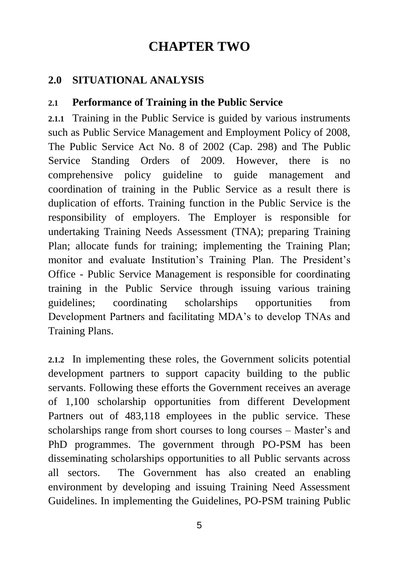# **CHAPTER TWO**

#### <span id="page-13-1"></span><span id="page-13-0"></span>**2.0 SITUATIONAL ANALYSIS**

#### <span id="page-13-2"></span>**2.1 Performance of Training in the Public Service**

**2.1.1** Training in the Public Service is guided by various instruments such as Public Service Management and Employment Policy of 2008, The Public Service Act No. 8 of 2002 (Cap. 298) and The Public Service Standing Orders of 2009. However, there is no comprehensive policy guideline to guide management and coordination of training in the Public Service as a result there is duplication of efforts. Training function in the Public Service is the responsibility of employers. The Employer is responsible for undertaking Training Needs Assessment (TNA); preparing Training Plan; allocate funds for training; implementing the Training Plan; monitor and evaluate Institution's Training Plan. The President's Office - Public Service Management is responsible for coordinating training in the Public Service through issuing various training guidelines; coordinating scholarships opportunities from Development Partners and facilitating MDA's to develop TNAs and Training Plans.

**2.1.2** In implementing these roles, the Government solicits potential development partners to support capacity building to the public servants. Following these efforts the Government receives an average of 1,100 scholarship opportunities from different Development Partners out of 483,118 employees in the public service. These scholarships range from short courses to long courses – Master's and PhD programmes. The government through PO-PSM has been disseminating scholarships opportunities to all Public servants across all sectors. The Government has also created an enabling environment by developing and issuing Training Need Assessment Guidelines. In implementing the Guidelines, PO-PSM training Public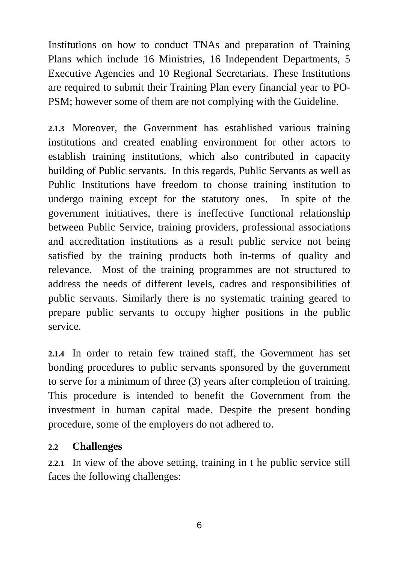Institutions on how to conduct TNAs and preparation of Training Plans which include 16 Ministries, 16 Independent Departments, 5 Executive Agencies and 10 Regional Secretariats. These Institutions are required to submit their Training Plan every financial year to PO-PSM; however some of them are not complying with the Guideline.

**2.1.3** Moreover, the Government has established various training institutions and created enabling environment for other actors to establish training institutions, which also contributed in capacity building of Public servants. In this regards, Public Servants as well as Public Institutions have freedom to choose training institution to undergo training except for the statutory ones. In spite of the government initiatives, there is ineffective functional relationship between Public Service, training providers, professional associations and accreditation institutions as a result public service not being satisfied by the training products both in-terms of quality and relevance. Most of the training programmes are not structured to address the needs of different levels, cadres and responsibilities of public servants. Similarly there is no systematic training geared to prepare public servants to occupy higher positions in the public service.

**2.1.4** In order to retain few trained staff, the Government has set bonding procedures to public servants sponsored by the government to serve for a minimum of three (3) years after completion of training. This procedure is intended to benefit the Government from the investment in human capital made. Despite the present bonding procedure, some of the employers do not adhered to.

#### <span id="page-14-0"></span>**2.2 Challenges**

**2.2.1** In view of the above setting, training in t he public service still faces the following challenges: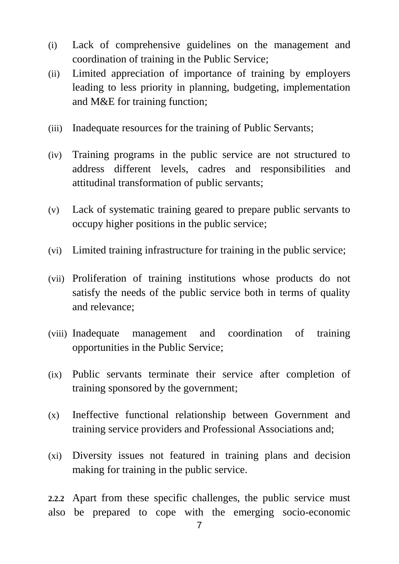- (i) Lack of comprehensive guidelines on the management and coordination of training in the Public Service;
- (ii) Limited appreciation of importance of training by employers leading to less priority in planning, budgeting, implementation and M&E for training function;
- (iii) Inadequate resources for the training of Public Servants;
- (iv) Training programs in the public service are not structured to address different levels, cadres and responsibilities and attitudinal transformation of public servants;
- (v) Lack of systematic training geared to prepare public servants to occupy higher positions in the public service;
- (vi) Limited training infrastructure for training in the public service;
- (vii) Proliferation of training institutions whose products do not satisfy the needs of the public service both in terms of quality and relevance;
- (viii) Inadequate management and coordination of training opportunities in the Public Service;
- (ix) Public servants terminate their service after completion of training sponsored by the government;
- (x) Ineffective functional relationship between Government and training service providers and Professional Associations and;
- (xi) Diversity issues not featured in training plans and decision making for training in the public service.

**2.2.2** Apart from these specific challenges, the public service must also be prepared to cope with the emerging socio-economic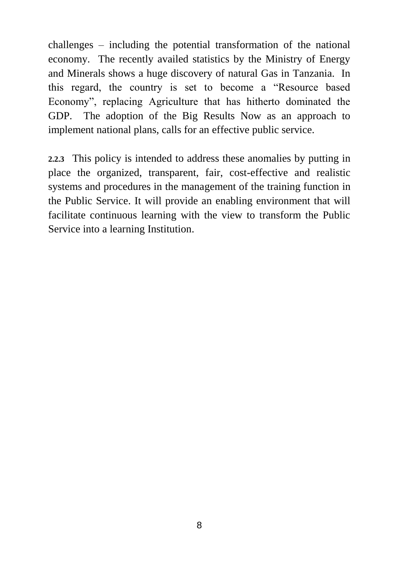challenges – including the potential transformation of the national economy. The recently availed statistics by the Ministry of Energy and Minerals shows a huge discovery of natural Gas in Tanzania. In this regard, the country is set to become a "Resource based Economy", replacing Agriculture that has hitherto dominated the GDP. The adoption of the Big Results Now as an approach to implement national plans, calls for an effective public service.

**2.2.3** This policy is intended to address these anomalies by putting in place the organized, transparent, fair, cost-effective and realistic systems and procedures in the management of the training function in the Public Service. It will provide an enabling environment that will facilitate continuous learning with the view to transform the Public Service into a learning Institution.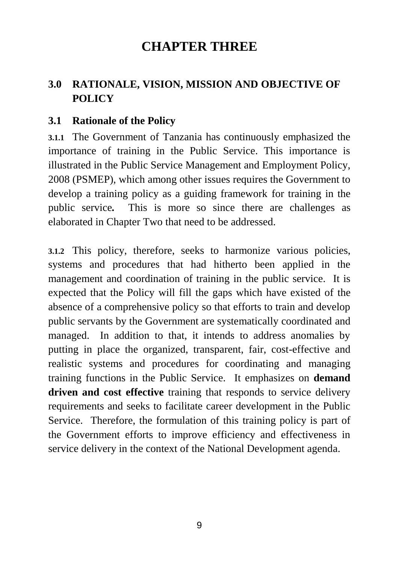# **CHAPTER THREE**

### <span id="page-17-1"></span><span id="page-17-0"></span>**3.0 RATIONALE, VISION, MISSION AND OBJECTIVE OF POLICY**

#### <span id="page-17-2"></span>**3.1 Rationale of the Policy**

**3.1.1** The Government of Tanzania has continuously emphasized the importance of training in the Public Service. This importance is illustrated in the Public Service Management and Employment Policy, 2008 (PSMEP), which among other issues requires the Government to develop a training policy as a guiding framework for training in the public service*.* This is more so since there are challenges as elaborated in Chapter Two that need to be addressed.

**3.1.2** This policy, therefore, seeks to harmonize various policies, systems and procedures that had hitherto been applied in the management and coordination of training in the public service. It is expected that the Policy will fill the gaps which have existed of the absence of a comprehensive policy so that efforts to train and develop public servants by the Government are systematically coordinated and managed. In addition to that, it intends to address anomalies by putting in place the organized, transparent, fair, cost-effective and realistic systems and procedures for coordinating and managing training functions in the Public Service. It emphasizes on **demand driven and cost effective** training that responds to service delivery requirements and seeks to facilitate career development in the Public Service. Therefore, the formulation of this training policy is part of the Government efforts to improve efficiency and effectiveness in service delivery in the context of the National Development agenda.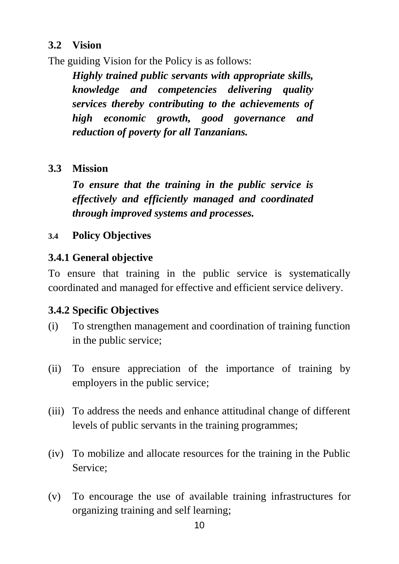#### <span id="page-18-0"></span>**3.2 Vision**

The guiding Vision for the Policy is as follows:

*Highly trained public servants with appropriate skills, knowledge and competencies delivering quality services thereby contributing to the achievements of high economic growth, good governance and reduction of poverty for all Tanzanians.* 

#### <span id="page-18-1"></span>**3.3 Mission**

*To ensure that the training in the public service is effectively and efficiently managed and coordinated through improved systems and processes.*

#### <span id="page-18-2"></span>**3.4 Policy Objectives**

#### **3.4.1 General objective**

To ensure that training in the public service is systematically coordinated and managed for effective and efficient service delivery.

#### **3.4.2 Specific Objectives**

- (i) To strengthen management and coordination of training function in the public service;
- (ii) To ensure appreciation of the importance of training by employers in the public service;
- (iii) To address the needs and enhance attitudinal change of different levels of public servants in the training programmes;
- (iv) To mobilize and allocate resources for the training in the Public Service;
- (v) To encourage the use of available training infrastructures for organizing training and self learning;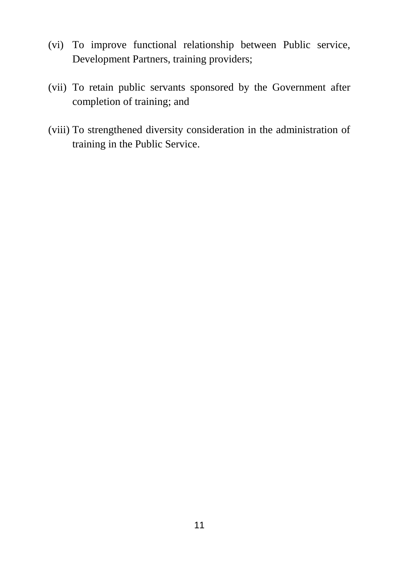- (vi) To improve functional relationship between Public service, Development Partners, training providers;
- (vii) To retain public servants sponsored by the Government after completion of training; and
- (viii) To strengthened diversity consideration in the administration of training in the Public Service.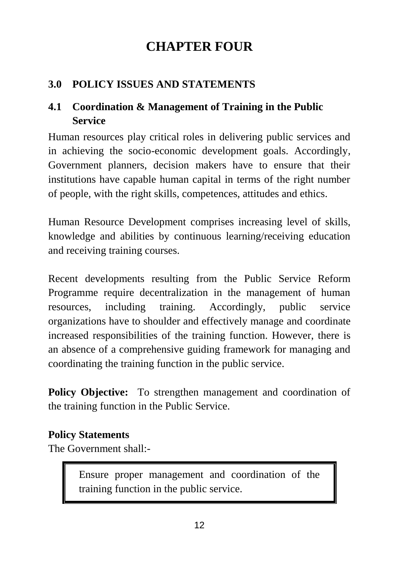# **CHAPTER FOUR**

### <span id="page-20-1"></span><span id="page-20-0"></span>**3.0 POLICY ISSUES AND STATEMENTS**

### <span id="page-20-2"></span>**4.1 Coordination & Management of Training in the Public Service**

Human resources play critical roles in delivering public services and in achieving the socio-economic development goals. Accordingly, Government planners, decision makers have to ensure that their institutions have capable human capital in terms of the right number of people, with the right skills, competences, attitudes and ethics.

Human Resource Development comprises increasing level of skills, knowledge and abilities by continuous learning/receiving education and receiving training courses.

Recent developments resulting from the Public Service Reform Programme require decentralization in the management of human resources, including training. Accordingly, public service organizations have to shoulder and effectively manage and coordinate increased responsibilities of the training function. However, there is an absence of a comprehensive guiding framework for managing and coordinating the training function in the public service.

**Policy Objective:** To strengthen management and coordination of the training function in the Public Service.

#### **Policy Statements**

The Government shall:-

Ensure proper management and coordination of the training function in the public service.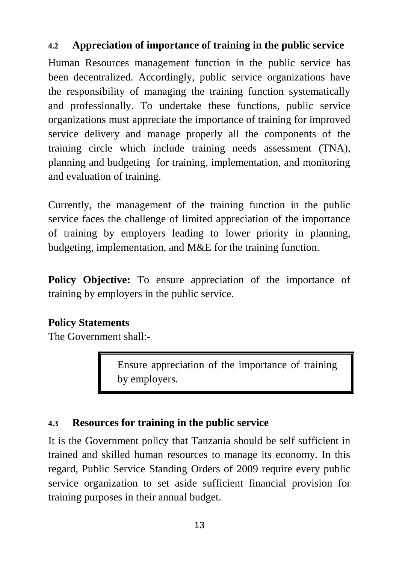#### <span id="page-21-0"></span>**4.2 Appreciation of importance of training in the public service**

Human Resources management function in the public service has been decentralized. Accordingly, public service organizations have the responsibility of managing the training function systematically and professionally. To undertake these functions, public service organizations must appreciate the importance of training for improved service delivery and manage properly all the components of the training circle which include training needs assessment (TNA), planning and budgeting for training, implementation, and monitoring and evaluation of training.

Currently, the management of the training function in the public service faces the challenge of limited appreciation of the importance of training by employers leading to lower priority in planning, budgeting, implementation, and M&E for the training function.

**Policy Objective:** To ensure appreciation of the importance of training by employers in the public service.

#### **Policy Statements**

The Government shall:-

Ensure appreciation of the importance of training by employers.

#### <span id="page-21-1"></span>**4.3 Resources for training in the public service**

It is the Government policy that Tanzania should be self sufficient in trained and skilled human resources to manage its economy. In this regard, Public Service Standing Orders of 2009 require every public service organization to set aside sufficient financial provision for training purposes in their annual budget.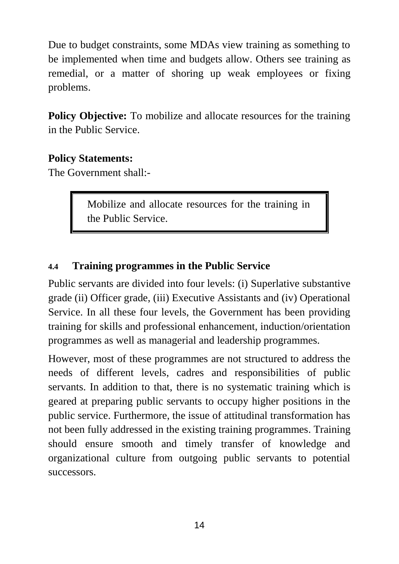Due to budget constraints, some MDAs view training as something to be implemented when time and budgets allow. Others see training as remedial, or a matter of shoring up weak employees or fixing problems.

**Policy Objective:** To mobilize and allocate resources for the training in the Public Service.

#### **Policy Statements:**

The Government shall:-

Mobilize and allocate resources for the training in the Public Service.

#### <span id="page-22-0"></span>**4.4 Training programmes in the Public Service**

Public servants are divided into four levels: (i) Superlative substantive grade (ii) Officer grade, (iii) Executive Assistants and (iv) Operational Service. In all these four levels, the Government has been providing training for skills and professional enhancement, induction/orientation programmes as well as managerial and leadership programmes.

However, most of these programmes are not structured to address the needs of different levels, cadres and responsibilities of public servants. In addition to that, there is no systematic training which is geared at preparing public servants to occupy higher positions in the public service. Furthermore, the issue of attitudinal transformation has not been fully addressed in the existing training programmes. Training should ensure smooth and timely transfer of knowledge and organizational culture from outgoing public servants to potential successors.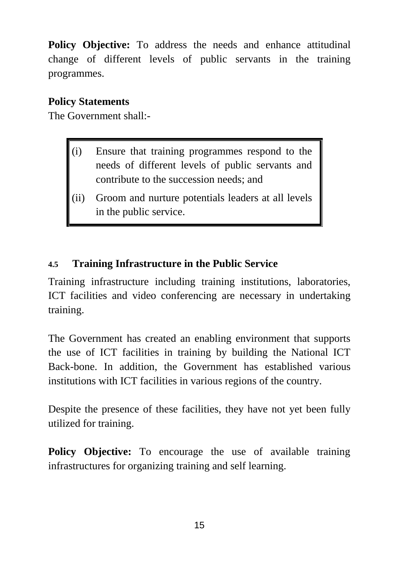**Policy Objective:** To address the needs and enhance attitudinal change of different levels of public servants in the training programmes.

#### **Policy Statements**

The Government shall:-

- (i) Ensure that training programmes respond to the needs of different levels of public servants and contribute to the succession needs; and
- (ii) Groom and nurture potentials leaders at all levels in the public service.

#### <span id="page-23-0"></span>**4.5 Training Infrastructure in the Public Service**

Training infrastructure including training institutions, laboratories, ICT facilities and video conferencing are necessary in undertaking training.

The Government has created an enabling environment that supports the use of ICT facilities in training by building the National ICT Back-bone. In addition, the Government has established various institutions with ICT facilities in various regions of the country.

Despite the presence of these facilities, they have not yet been fully utilized for training.

**Policy Objective:** To encourage the use of available training infrastructures for organizing training and self learning.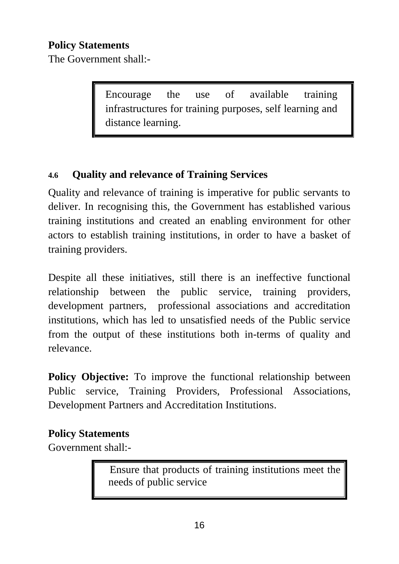#### **Policy Statements**

The Government shall:-

Encourage the use of available training infrastructures for training purposes, self learning and distance learning.

#### <span id="page-24-0"></span>**4.6 Quality and relevance of Training Services**

Quality and relevance of training is imperative for public servants to deliver. In recognising this, the Government has established various training institutions and created an enabling environment for other actors to establish training institutions, in order to have a basket of training providers.

Despite all these initiatives, still there is an ineffective functional relationship between the public service, training providers, development partners, professional associations and accreditation institutions, which has led to unsatisfied needs of the Public service from the output of these institutions both in-terms of quality and relevance.

**Policy Objective:** To improve the functional relationship between Public service, Training Providers, Professional Associations, Development Partners and Accreditation Institutions.

#### **Policy Statements**

Government shall:-

 Ensure that products of training institutions meet the needs of public service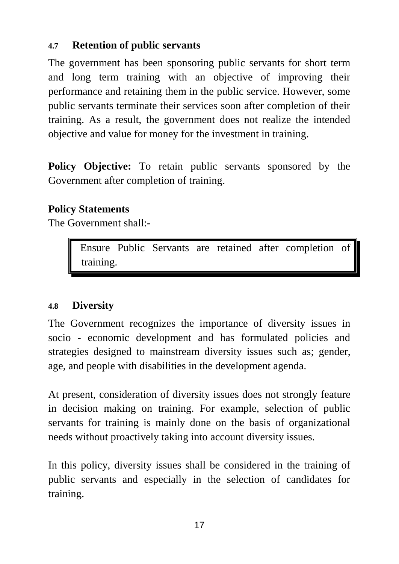#### <span id="page-25-0"></span>**4.7 Retention of public servants**

The government has been sponsoring public servants for short term and long term training with an objective of improving their performance and retaining them in the public service. However, some public servants terminate their services soon after completion of their training. As a result, the government does not realize the intended objective and value for money for the investment in training.

**Policy Objective:** To retain public servants sponsored by the Government after completion of training.

#### **Policy Statements**

The Government shall:-

 Ensure Public Servants are retained after completion of training.

#### <span id="page-25-1"></span>**4.8 Diversity**

The Government recognizes the importance of diversity issues in socio - economic development and has formulated policies and strategies designed to mainstream diversity issues such as; gender, age, and people with disabilities in the development agenda.

At present, consideration of diversity issues does not strongly feature in decision making on training. For example, selection of public servants for training is mainly done on the basis of organizational needs without proactively taking into account diversity issues.

In this policy, diversity issues shall be considered in the training of public servants and especially in the selection of candidates for training.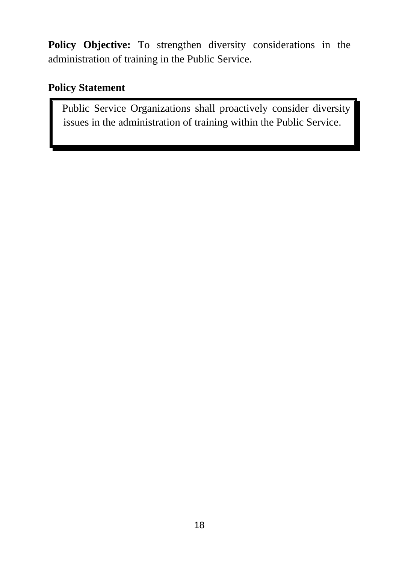**Policy Objective:** To strengthen diversity considerations in the administration of training in the Public Service.

#### **Policy Statement**

 Public Service Organizations shall proactively consider diversity issues in the administration of training within the Public Service.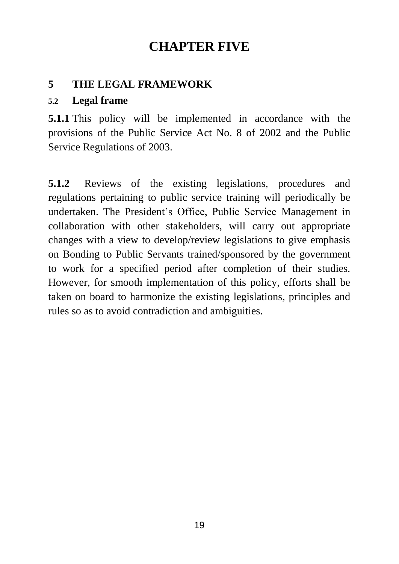# **CHAPTER FIVE**

#### <span id="page-27-1"></span><span id="page-27-0"></span>**5 THE LEGAL FRAMEWORK**

#### **5.2 Legal frame**

**5.1.1** This policy will be implemented in accordance with the provisions of the Public Service Act No. 8 of 2002 and the Public Service Regulations of 2003.

**5.1.2** Reviews of the existing legislations, procedures and regulations pertaining to public service training will periodically be undertaken. The President's Office, Public Service Management in collaboration with other stakeholders, will carry out appropriate changes with a view to develop/review legislations to give emphasis on Bonding to Public Servants trained/sponsored by the government to work for a specified period after completion of their studies. However, for smooth implementation of this policy, efforts shall be taken on board to harmonize the existing legislations, principles and rules so as to avoid contradiction and ambiguities.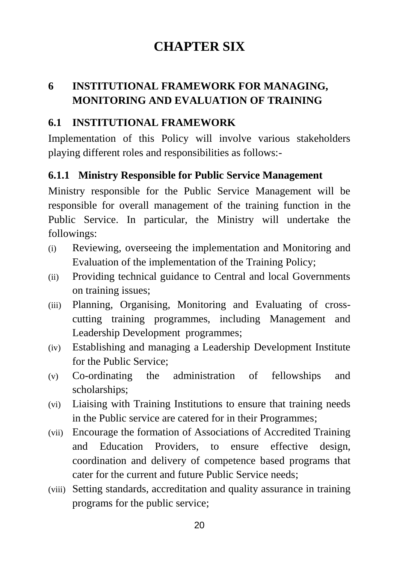# **CHAPTER SIX**

### <span id="page-28-1"></span><span id="page-28-0"></span>**6 INSTITUTIONAL FRAMEWORK FOR MANAGING, MONITORING AND EVALUATION OF TRAINING**

#### <span id="page-28-2"></span>**6.1 INSTITUTIONAL FRAMEWORK**

Implementation of this Policy will involve various stakeholders playing different roles and responsibilities as follows:-

#### **6.1.1 Ministry Responsible for Public Service Management**

Ministry responsible for the Public Service Management will be responsible for overall management of the training function in the Public Service. In particular, the Ministry will undertake the followings:

- (i) Reviewing, overseeing the implementation and Monitoring and Evaluation of the implementation of the Training Policy;
- (ii) Providing technical guidance to Central and local Governments on training issues;
- (iii) Planning, Organising, Monitoring and Evaluating of crosscutting training programmes, including Management and Leadership Development programmes;
- (iv) Establishing and managing a Leadership Development Institute for the Public Service;
- (v) Co-ordinating the administration of fellowships and scholarships;
- (vi) Liaising with Training Institutions to ensure that training needs in the Public service are catered for in their Programmes;
- (vii) Encourage the formation of Associations of Accredited Training and Education Providers, to ensure effective design, coordination and delivery of competence based programs that cater for the current and future Public Service needs;
- (viii) Setting standards, accreditation and quality assurance in training programs for the public service;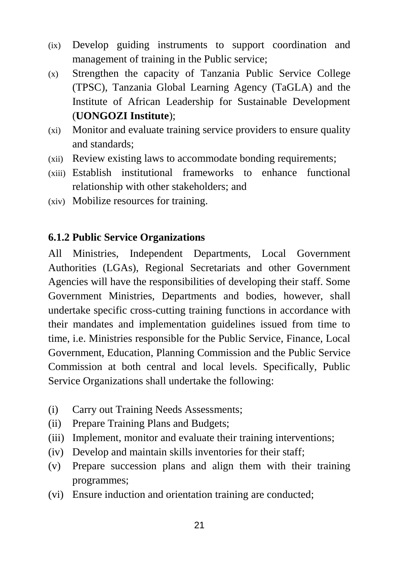- (ix) Develop guiding instruments to support coordination and management of training in the Public service;
- (x) Strengthen the capacity of Tanzania Public Service College (TPSC), Tanzania Global Learning Agency (TaGLA) and the Institute of African Leadership for Sustainable Development (**UONGOZI Institute**);
- (xi) Monitor and evaluate training service providers to ensure quality and standards;
- (xii) Review existing laws to accommodate bonding requirements;
- (xiii) Establish institutional frameworks to enhance functional relationship with other stakeholders; and
- (xiv) Mobilize resources for training.

#### **6.1.2 Public Service Organizations**

All Ministries, Independent Departments, Local Government Authorities (LGAs), Regional Secretariats and other Government Agencies will have the responsibilities of developing their staff. Some Government Ministries, Departments and bodies, however, shall undertake specific cross-cutting training functions in accordance with their mandates and implementation guidelines issued from time to time, i.e. Ministries responsible for the Public Service, Finance, Local Government, Education, Planning Commission and the Public Service Commission at both central and local levels. Specifically, Public Service Organizations shall undertake the following:

- (i) Carry out Training Needs Assessments;
- (ii) Prepare Training Plans and Budgets;
- (iii) Implement, monitor and evaluate their training interventions;
- (iv) Develop and maintain skills inventories for their staff;
- (v) Prepare succession plans and align them with their training programmes;
- (vi) Ensure induction and orientation training are conducted;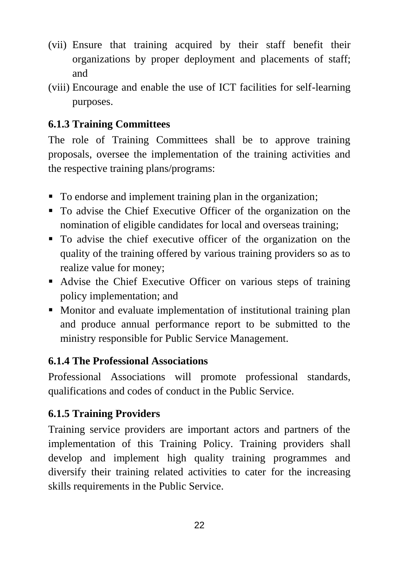- (vii) Ensure that training acquired by their staff benefit their organizations by proper deployment and placements of staff; and
- (viii) Encourage and enable the use of ICT facilities for self-learning purposes.

### **6.1.3 Training Committees**

The role of Training Committees shall be to approve training proposals, oversee the implementation of the training activities and the respective training plans/programs:

- To endorse and implement training plan in the organization;
- To advise the Chief Executive Officer of the organization on the nomination of eligible candidates for local and overseas training;
- To advise the chief executive officer of the organization on the quality of the training offered by various training providers so as to realize value for money;
- Advise the Chief Executive Officer on various steps of training policy implementation; and
- Monitor and evaluate implementation of institutional training plan and produce annual performance report to be submitted to the ministry responsible for Public Service Management.

### **6.1.4 The Professional Associations**

Professional Associations will promote professional standards, qualifications and codes of conduct in the Public Service.

## **6.1.5 Training Providers**

Training service providers are important actors and partners of the implementation of this Training Policy. Training providers shall develop and implement high quality training programmes and diversify their training related activities to cater for the increasing skills requirements in the Public Service.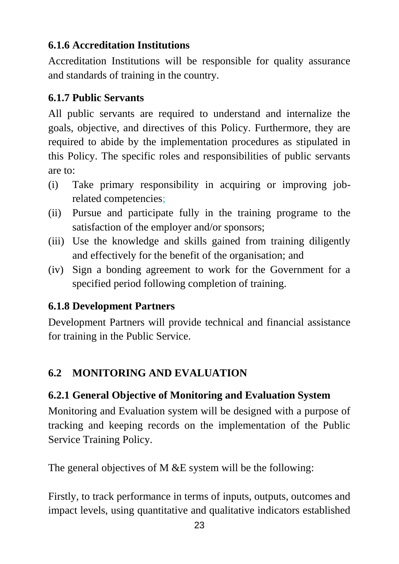### **6.1.6 Accreditation Institutions**

Accreditation Institutions will be responsible for quality assurance and standards of training in the country.

## **6.1.7 Public Servants**

All public servants are required to understand and internalize the goals, objective, and directives of this Policy. Furthermore, they are required to abide by the implementation procedures as stipulated in this Policy. The specific roles and responsibilities of public servants are to:

- (i) Take primary responsibility in acquiring or improving jobrelated competencies;
- (ii) Pursue and participate fully in the training programe to the satisfaction of the employer and/or sponsors;
- (iii) Use the knowledge and skills gained from training diligently and effectively for the benefit of the organisation; and
- (iv) Sign a bonding agreement to work for the Government for a specified period following completion of training.

## **6.1.8 Development Partners**

Development Partners will provide technical and financial assistance for training in the Public Service.

# <span id="page-31-0"></span>**6.2 MONITORING AND EVALUATION**

## **6.2.1 General Objective of Monitoring and Evaluation System**

Monitoring and Evaluation system will be designed with a purpose of tracking and keeping records on the implementation of the Public Service Training Policy.

The general objectives of M &E system will be the following:

Firstly, to track performance in terms of inputs, outputs, outcomes and impact levels, using quantitative and qualitative indicators established